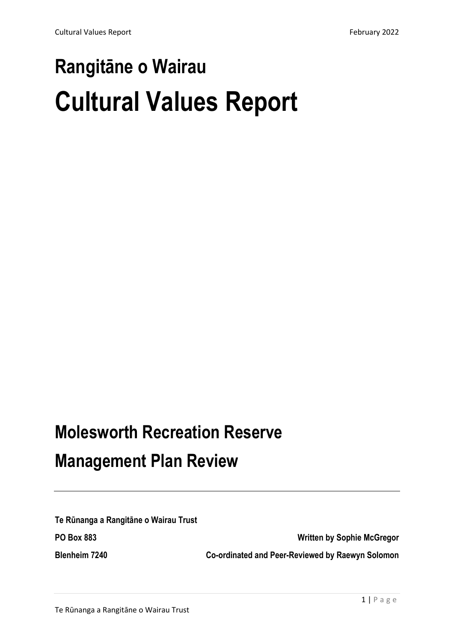# **Rangitāne o Wairau Cultural Values Report**

## **Molesworth Recreation Reserve Management Plan Review**

**Te Rūnanga a Rangitāne o Wairau Trust PO Box 883 Written by Sophie McGregor**

**Blenheim 7240 Co-ordinated and Peer-Reviewed by Raewyn Solomon**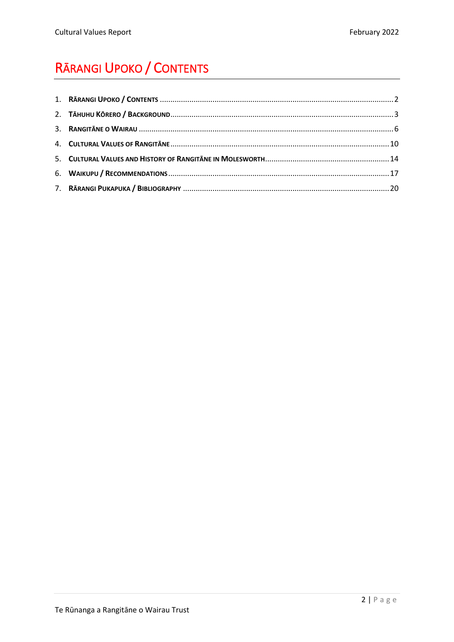## <span id="page-1-0"></span>RĀRANGI UPOKO / CONTENTS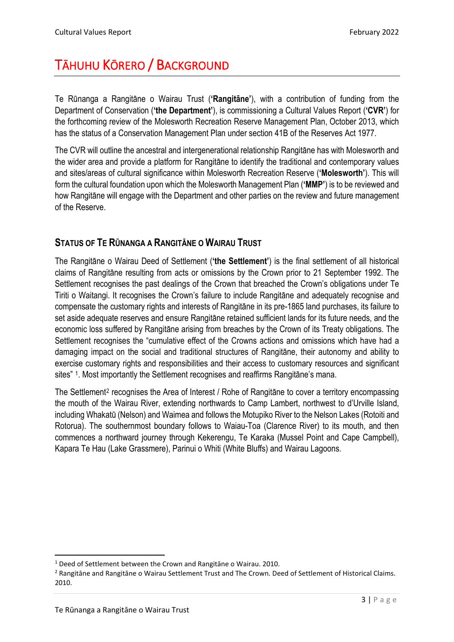## <span id="page-2-0"></span>TĀHUHU KŌRERO / BACKGROUND

Te Rūnanga a Rangitāne o Wairau Trust (**'Rangitāne'**), with a contribution of funding from the Department of Conservation (**'the Department'**), is commissioning a Cultural Values Report (**'CVR'**) for the forthcoming review of the Molesworth Recreation Reserve Management Plan, October 2013, which has the status of a Conservation Management Plan under section 41B of the Reserves Act 1977.

The CVR will outline the ancestral and intergenerational relationship Rangitāne has with Molesworth and the wider area and provide a platform for Rangitāne to identify the traditional and contemporary values and sites/areas of cultural significance within Molesworth Recreation Reserve (**'Molesworth'**). This will form the cultural foundation upon which the Molesworth Management Plan (**'MMP'**) is to be reviewed and how Rangitāne will engage with the Department and other parties on the review and future management of the Reserve.

#### **STATUS OF TE RŪNANGA A RANGITĀNE O WAIRAU TRUST**

The Rangitāne o Wairau Deed of Settlement (**'the Settlement'**) is the final settlement of all historical claims of Rangitāne resulting from acts or omissions by the Crown prior to 21 September 1992. The Settlement recognises the past dealings of the Crown that breached the Crown's obligations under Te Tiriti o Waitangi. It recognises the Crown's failure to include Rangitāne and adequately recognise and compensate the customary rights and interests of Rangitāne in its pre-1865 land purchases, its failure to set aside adequate reserves and ensure Rangitāne retained sufficient lands for its future needs, and the economic loss suffered by Rangitāne arising from breaches by the Crown of its Treaty obligations. The Settlement recognises the "cumulative effect of the Crowns actions and omissions which have had a damaging impact on the social and traditional structures of Rangitāne, their autonomy and ability to exercise customary rights and responsibilities and their access to customary resources and significant sites" [1](#page-2-1). Most importantly the Settlement recognises and reaffirms Rangitāne's mana.

The Settlement<sup>[2](#page-2-2)</sup> recognises the Area of Interest / Rohe of Rangitane to cover a territory encompassing the mouth of the Wairau River, extending northwards to Camp Lambert, northwest to d'Urville Island, including Whakatū (Nelson) and Waimea and follows the Motupiko River to the Nelson Lakes (Rotoiti and Rotorua). The southernmost boundary follows to Waiau-Toa (Clarence River) to its mouth, and then commences a northward journey through Kekerengu, Te Karaka (Mussel Point and Cape Campbell), Kapara Te Hau (Lake Grassmere), Parinui o Whiti (White Bluffs) and Wairau Lagoons.

<span id="page-2-1"></span><sup>1</sup> Deed of Settlement between the Crown and Rangitāne o Wairau. 2010.

<span id="page-2-2"></span><sup>&</sup>lt;sup>2</sup> Rangitāne and Rangitāne o Wairau Settlement Trust and The Crown. Deed of Settlement of Historical Claims. 2010.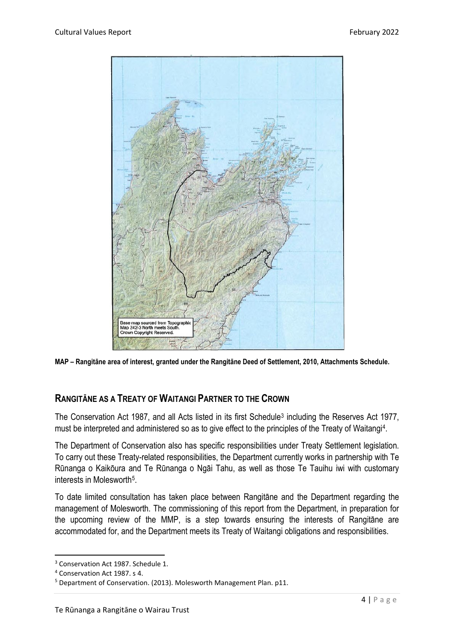

**MAP – Rangitāne area of interest, granted under the Rangitāne Deed of Settlement, 2010, Attachments Schedule.**

#### **RANGITĀNE AS A TREATY OF WAITANGI PARTNER TO THE CROWN**

The Conservation Act 1987, and all Acts listed in its first Schedule[3](#page-3-0) including the Reserves Act 1977, must be interpreted and administered so as to give effect to the principles of the Treaty of Waitangi[4.](#page-3-1)

The Department of Conservation also has specific responsibilities under Treaty Settlement legislation. To carry out these Treaty-related responsibilities, the Department currently works in partnership with Te Rūnanga o Kaikōura and Te Rūnanga o Ngāi Tahu, as well as those Te Tauihu iwi with customary interests in Molesworth[5.](#page-3-2)

To date limited consultation has taken place between Rangitāne and the Department regarding the management of Molesworth. The commissioning of this report from the Department, in preparation for the upcoming review of the MMP, is a step towards ensuring the interests of Rangitāne are accommodated for, and the Department meets its Treaty of Waitangi obligations and responsibilities.

<span id="page-3-0"></span><sup>&</sup>lt;sup>3</sup> Conservation Act 1987. Schedule 1.

<span id="page-3-1"></span><sup>4</sup> Conservation Act 1987. s 4.

<span id="page-3-2"></span><sup>5</sup> Department of Conservation. (2013). Molesworth Management Plan. p11.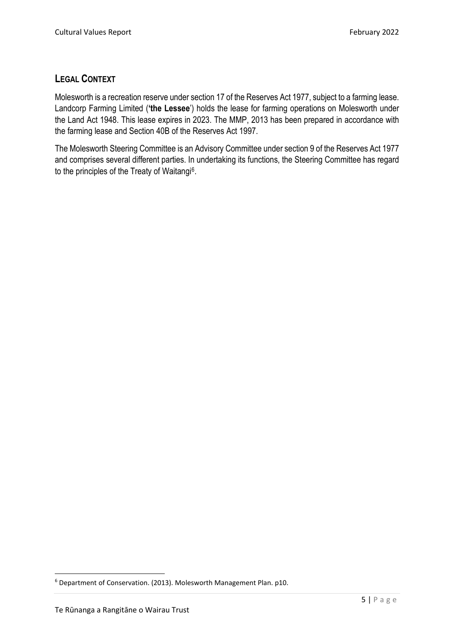#### **LEGAL CONTEXT**

Molesworth is a recreation reserve under section 17 of the Reserves Act 1977, subject to a farming lease. Landcorp Farming Limited (**'the Lessee**') holds the lease for farming operations on Molesworth under the Land Act 1948. This lease expires in 2023. The MMP, 2013 has been prepared in accordance with the farming lease and Section 40B of the Reserves Act 1997.

The Molesworth Steering Committee is an Advisory Committee under section 9 of the Reserves Act 1977 and comprises several different parties. In undertaking its functions, the Steering Committee has regard to the principles of the Treaty of Waitang[i6](#page-4-0).

<span id="page-4-0"></span><sup>6</sup> Department of Conservation. (2013). Molesworth Management Plan. p10.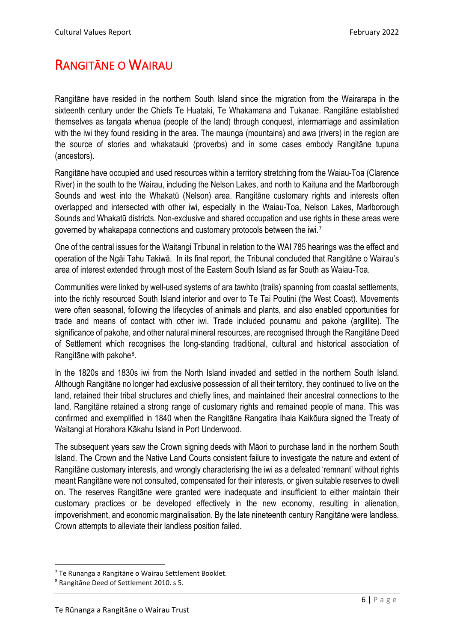### <span id="page-5-0"></span>RANGITĀNE O WAIRAU

Rangitāne have resided in the northern South Island since the migration from the Wairarapa in the sixteenth century under the Chiefs Te Huataki, Te Whakamana and Tukanae. Rangitāne established themselves as tangata whenua (people of the land) through conquest, intermarriage and assimilation with the iwi they found residing in the area. The maunga (mountains) and awa (rivers) in the region are the source of stories and whakatauki (proverbs) and in some cases embody Rangitāne tupuna (ancestors).

Rangitāne have occupied and used resources within a territory stretching from the Waiau-Toa (Clarence River) in the south to the Wairau, including the Nelson Lakes, and north to Kaituna and the Marlborough Sounds and west into the Whakatū (Nelson) area. Rangitāne customary rights and interests often overlapped and intersected with other iwi, especially in the Waiau-Toa, Nelson Lakes, Marlborough Sounds and Whakatū districts. Non-exclusive and shared occupation and use rights in these areas were governed by whakapapa connections and customary protocols between the iwi.[7](#page-5-1)

One of the central issues for the Waitangi Tribunal in relation to the WAI 785 hearings was the effect and operation of the Ngāi Tahu Takiwā. In its final report, the Tribunal concluded that Rangitāne o Wairau's area of interest extended through most of the Eastern South Island as far South as Waiau-Toa.

Communities were linked by well-used systems of ara tawhito (trails) spanning from coastal settlements, into the richly resourced South Island interior and over to Te Tai Poutini (the West Coast). Movements were often seasonal, following the lifecycles of animals and plants, and also enabled opportunities for trade and means of contact with other iwi. Trade included pounamu and pakohe (argillite). The significance of pakohe, and other natural mineral resources, are recognised through the Rangitāne Deed of Settlement which recognises the long-standing traditional, cultural and historical association of Rangitāne with pakohe[8](#page-5-2).

In the 1820s and 1830s iwi from the North Island invaded and settled in the northern South Island. Although Rangitāne no longer had exclusive possession of all their territory, they continued to live on the land, retained their tribal structures and chiefly lines, and maintained their ancestral connections to the land. Rangitāne retained a strong range of customary rights and remained people of mana. This was confirmed and exemplified in 1840 when the Rangitāne Rangatira Ihaia Kaikōura signed the Treaty of Waitangi at Horahora Kākahu Island in Port Underwood.

The subsequent years saw the Crown signing deeds with Māori to purchase land in the northern South Island. The Crown and the Native Land Courts consistent failure to investigate the nature and extent of Rangitāne customary interests, and wrongly characterising the iwi as a defeated 'remnant' without rights meant Rangitāne were not consulted, compensated for their interests, or given suitable reserves to dwell on. The reserves Rangitāne were granted were inadequate and insufficient to either maintain their customary practices or be developed effectively in the new economy, resulting in alienation, impoverishment, and economic marginalisation. By the late nineteenth century Rangitāne were landless. Crown attempts to alleviate their landless position failed.

<span id="page-5-1"></span><sup>7</sup> Te Runanga a Rangitāne o Wairau Settlement Booklet.

<span id="page-5-2"></span><sup>8</sup> Rangitāne Deed of Settlement 2010. s 5.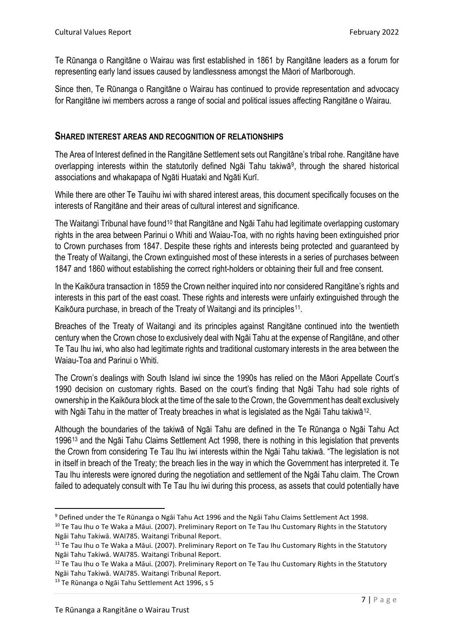Te Rūnanga o Rangitāne o Wairau was first established in 1861 by Rangitāne leaders as a forum for representing early land issues caused by landlessness amongst the Māori of Marlborough.

Since then, Te Rūnanga o Rangitāne o Wairau has continued to provide representation and advocacy for Rangitāne iwi members across a range of social and political issues affecting Rangitāne o Wairau.

#### **SHARED INTEREST AREAS AND RECOGNITION OF RELATIONSHIPS**

The Area of Interest defined in the Rangitāne Settlement sets out Rangitāne's tribal rohe. Rangitāne have overlapping interests within the statutorily defined Ngāi Tahu takiwā<sup>9</sup>, through the shared historical associations and whakapapa of Ngāti Huataki and Ngāti Kurī.

While there are other Te Tauihu iwi with shared interest areas, this document specifically focuses on the interests of Rangitāne and their areas of cultural interest and significance.

The Waitangi Tribunal have found<sup>[10](#page-6-1)</sup> that Rangitāne and Ngāi Tahu had legitimate overlapping customary rights in the area between Parinui o Whiti and Waiau-Toa, with no rights having been extinguished prior to Crown purchases from 1847. Despite these rights and interests being protected and guaranteed by the Treaty of Waitangi, the Crown extinguished most of these interests in a series of purchases between 1847 and 1860 without establishing the correct right-holders or obtaining their full and free consent.

In the Kaikōura transaction in 1859 the Crown neither inquired into nor considered Rangitāne's rights and interests in this part of the east coast. These rights and interests were unfairly extinguished through the Kaikōura purchase, in breach of the Treaty of Waitangi and its principles<sup>11</sup>.

Breaches of the Treaty of Waitangi and its principles against Rangitāne continued into the twentieth century when the Crown chose to exclusively deal with Ngāi Tahu at the expense of Rangitāne, and other Te Tau Ihu iwi, who also had legitimate rights and traditional customary interests in the area between the Waiau-Toa and Parinui o Whiti.

The Crown's dealings with South Island iwi since the 1990s has relied on the Māori Appellate Court's 1990 decision on customary rights. Based on the court's finding that Ngāi Tahu had sole rights of ownership in the Kaikōura block at the time of the sale to the Crown, the Government has dealt exclusively with Ngāi Tahu in the matter of Treaty breaches in what is legislated as the Ngāi Tahu takiwā<sup>[12](#page-6-3)</sup>.

Although the boundaries of the takiwā of Ngāi Tahu are defined in the Te Rūnanga o Ngāi Tahu Act 1996[13](#page-6-4) and the Ngāi Tahu Claims Settlement Act 1998, there is nothing in this legislation that prevents the Crown from considering Te Tau Ihu iwi interests within the Ngāi Tahu takiwā. "The legislation is not in itself in breach of the Treaty; the breach lies in the way in which the Government has interpreted it. Te Tau Ihu interests were ignored during the negotiation and settlement of the Ngāi Tahu claim. The Crown failed to adequately consult with Te Tau Ihu iwi during this process, as assets that could potentially have

<span id="page-6-0"></span><sup>&</sup>lt;sup>9</sup> Defined under the Te Rūnanga o Ngāi Tahu Act 1996 and the Ngāi Tahu Claims Settlement Act 1998.

<span id="page-6-1"></span><sup>&</sup>lt;sup>10</sup> Te Tau Ihu o Te Waka a Māui. (2007). Preliminary Report on Te Tau Ihu Customary Rights in the Statutory Ngāi Tahu Takiwā. WAI785. Waitangi Tribunal Report.<br><sup>11</sup> Te Tau Ihu o Te Waka a Māui. (2007). Preliminary Report on Te Tau Ihu Customary Rights in the Statutory

<span id="page-6-2"></span>Ngāi Tahu Takiwā. WAI785. Waitangi Tribunal Report.

<span id="page-6-3"></span><sup>&</sup>lt;sup>12</sup> Te Tau Ihu o Te Waka a Māui. (2007). Preliminary Report on Te Tau Ihu Customary Rights in the Statutory Ngāi Tahu Takiwā. WAI785. Waitangi Tribunal Report.

<span id="page-6-4"></span><sup>13</sup> Te Rūnanga o Ngāi Tahu Settlement Act 1996, s 5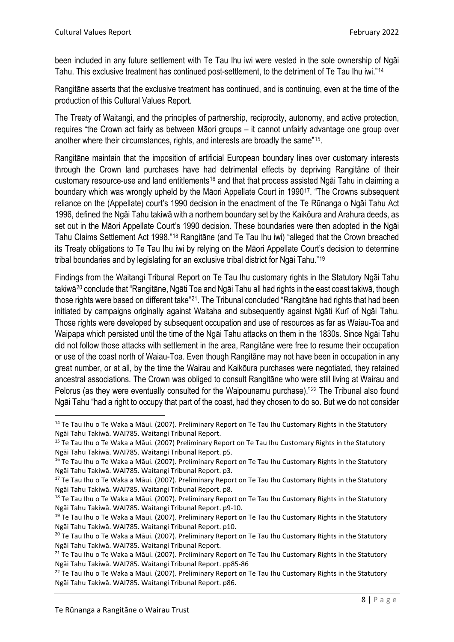been included in any future settlement with Te Tau Ihu iwi were vested in the sole ownership of Ngāi Tahu. This exclusive treatment has continued post-settlement, to the detriment of Te Tau Ihu iwi."[14](#page-7-0)

Rangitāne asserts that the exclusive treatment has continued, and is continuing, even at the time of the production of this Cultural Values Report.

The Treaty of Waitangi, and the principles of partnership, reciprocity, autonomy, and active protection, requires "the Crown act fairly as between Māori groups – it cannot unfairly advantage one group over another where their circumstances, rights, and interests are broadly the same"<sup>[15](#page-7-1)</sup>.

Rangitāne maintain that the imposition of artificial European boundary lines over customary interests through the Crown land purchases have had detrimental effects by depriving Rangitāne of their customary resource-use and land entitlements<sup>[16](#page-7-2)</sup> and that that process assisted Ngai Tahu in claiming a boundary which was wrongly upheld by the Māori Appellate Court in 1990[17](#page-7-3). "The Crowns subsequent reliance on the (Appellate) court's 1990 decision in the enactment of the Te Rūnanga o Ngāi Tahu Act 1996, defined the Ngāi Tahu takiwā with a northern boundary set by the Kaikōura and Arahura deeds, as set out in the Māori Appellate Court's 1990 decision. These boundaries were then adopted in the Ngāi Tahu Claims Settlement Act 1998.["18](#page-7-4) Rangitāne (and Te Tau Ihu iwi) "alleged that the Crown breached its Treaty obligations to Te Tau Ihu iwi by relying on the Māori Appellate Court's decision to determine tribal boundaries and by legislating for an exclusive tribal district for Ngāi Tahu."[19](#page-7-5)

Findings from the Waitangi Tribunal Report on Te Tau Ihu customary rights in the Statutory Ngāi Tahu takiwā[20](#page-7-6) conclude that "Rangitāne, Ngāti Toa and Ngāi Tahu all had rights in the east coast takiwā, though those rights were based on different take"[21.](#page-7-7) The Tribunal concluded "Rangitāne had rights that had been initiated by campaigns originally against Waitaha and subsequently against Ngāti Kurī of Ngāi Tahu. Those rights were developed by subsequent occupation and use of resources as far as Waiau-Toa and Waipapa which persisted until the time of the Ngāi Tahu attacks on them in the 1830s. Since Ngāi Tahu did not follow those attacks with settlement in the area, Rangitāne were free to resume their occupation or use of the coast north of Waiau-Toa. Even though Rangitāne may not have been in occupation in any great number, or at all, by the time the Wairau and Kaikōura purchases were negotiated, they retained ancestral associations. The Crown was obliged to consult Rangitāne who were still living at Wairau and Pelorus (as they were eventually consulted for the Waipounamu purchase)."<sup>[22](#page-7-8)</sup> The Tribunal also found Ngāi Tahu "had a right to occupy that part of the coast, had they chosen to do so. But we do not consider

<span id="page-7-0"></span><sup>&</sup>lt;sup>14</sup> Te Tau Ihu o Te Waka a Māui. (2007). Preliminary Report on Te Tau Ihu Customary Rights in the Statutory Ngāi Tahu Takiwā. WAI785. Waitangi Tribunal Report.

<span id="page-7-1"></span><sup>&</sup>lt;sup>15</sup> Te Tau Ihu o Te Waka a Māui. (2007) Preliminary Report on Te Tau Ihu Customary Rights in the Statutory Ngāi Tahu Takiwā. WAI785. Waitangi Tribunal Report. p5.

<span id="page-7-2"></span><sup>&</sup>lt;sup>16</sup> Te Tau Ihu o Te Waka a Māui. (2007). Preliminary Report on Te Tau Ihu Customary Rights in the Statutory Ngāi Tahu Takiwā. WAI785. Waitangi Tribunal Report. p3.

<span id="page-7-3"></span><sup>&</sup>lt;sup>17</sup> Te Tau Ihu o Te Waka a Māui. (2007). Preliminary Report on Te Tau Ihu Customary Rights in the Statutory Ngāi Tahu Takiwā. WAI785. Waitangi Tribunal Report. p8.<br><sup>18</sup> Te Tau Ihu o Te Waka a Māui. (2007). Preliminary Report on Te Tau Ihu Customary Rights in the Statutory

<span id="page-7-4"></span>Ngāi Tahu Takiwā. WAI785. Waitangi Tribunal Report. p9-10.

<span id="page-7-5"></span><sup>&</sup>lt;sup>19</sup> Te Tau Ihu o Te Waka a Māui. (2007). Preliminary Report on Te Tau Ihu Customary Rights in the Statutory Ngāi Tahu Takiwā. WAI785. Waitangi Tribunal Report. p10.

<span id="page-7-6"></span><sup>&</sup>lt;sup>20</sup> Te Tau Ihu o Te Waka a Māui. (2007). Preliminary Report on Te Tau Ihu Customary Rights in the Statutory Ngāi Tahu Takiwā. WAI785. Waitangi Tribunal Report.

<span id="page-7-7"></span><sup>&</sup>lt;sup>21</sup> Te Tau Ihu o Te Waka a Māui. (2007). Preliminary Report on Te Tau Ihu Customary Rights in the Statutory Ngāi Tahu Takiwā. WAI785. Waitangi Tribunal Report. pp85-86

<span id="page-7-8"></span><sup>&</sup>lt;sup>22</sup> Te Tau Ihu o Te Waka a Māui. (2007). Preliminary Report on Te Tau Ihu Customary Rights in the Statutory Ngāi Tahu Takiwā. WAI785. Waitangi Tribunal Report. p86.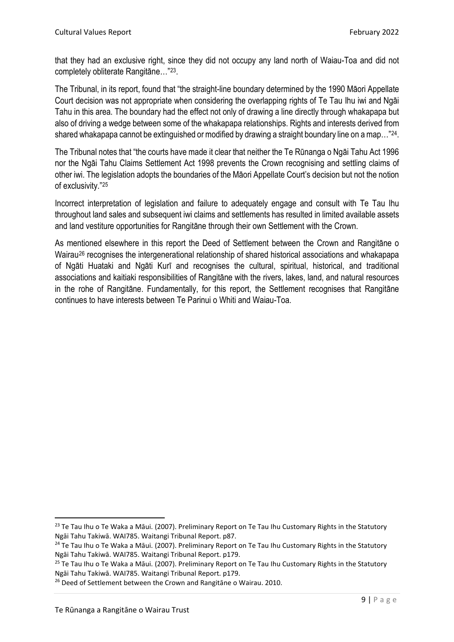that they had an exclusive right, since they did not occupy any land north of Waiau-Toa and did not completely obliterate Rangitāne…["23.](#page-8-0)

The Tribunal, in its report, found that "the straight-line boundary determined by the 1990 Māori Appellate Court decision was not appropriate when considering the overlapping rights of Te Tau Ihu iwi and Ngāi Tahu in this area. The boundary had the effect not only of drawing a line directly through whakapapa but also of driving a wedge between some of the whakapapa relationships. Rights and interests derived from shared whakapapa cannot be extinguished or modified by drawing a straight boundary line on a map…["24.](#page-8-1)

The Tribunal notes that "the courts have made it clear that neither the Te Rūnanga o Ngāi Tahu Act 1996 nor the Ngāi Tahu Claims Settlement Act 1998 prevents the Crown recognising and settling claims of other iwi. The legislation adopts the boundaries of the Māori Appellate Court's decision but not the notion of exclusivity."[25](#page-8-2)

Incorrect interpretation of legislation and failure to adequately engage and consult with Te Tau Ihu throughout land sales and subsequent iwi claims and settlements has resulted in limited available assets and land vestiture opportunities for Rangitāne through their own Settlement with the Crown.

As mentioned elsewhere in this report the Deed of Settlement between the Crown and Rangitāne o Wairau<sup>[26](#page-8-3)</sup> recognises the intergenerational relationship of shared historical associations and whakapapa of Ngāti Huataki and Ngāti Kurī and recognises the cultural, spiritual, historical, and traditional associations and kaitiaki responsibilities of Rangitāne with the rivers, lakes, land, and natural resources in the rohe of Rangitāne. Fundamentally, for this report, the Settlement recognises that Rangitāne continues to have interests between Te Parinui o Whiti and Waiau-Toa.

<span id="page-8-0"></span><sup>&</sup>lt;sup>23</sup> Te Tau Ihu o Te Waka a Māui. (2007). Preliminary Report on Te Tau Ihu Customary Rights in the Statutory Ngāi Tahu Takiwā. WAI785. Waitangi Tribunal Report. p87.

<span id="page-8-1"></span><sup>&</sup>lt;sup>24</sup> Te Tau Ihu o Te Waka a Māui. (2007). Preliminary Report on Te Tau Ihu Customary Rights in the Statutory Ngāi Tahu Takiwā. WAI785. Waitangi Tribunal Report. p179.

<span id="page-8-2"></span><sup>&</sup>lt;sup>25</sup> Te Tau Ihu o Te Waka a Māui. (2007). Preliminary Report on Te Tau Ihu Customary Rights in the Statutory Ngāi Tahu Takiwā. WAI785. Waitangi Tribunal Report. p179.

<span id="page-8-3"></span><sup>&</sup>lt;sup>26</sup> Deed of Settlement between the Crown and Rangitane o Wairau. 2010.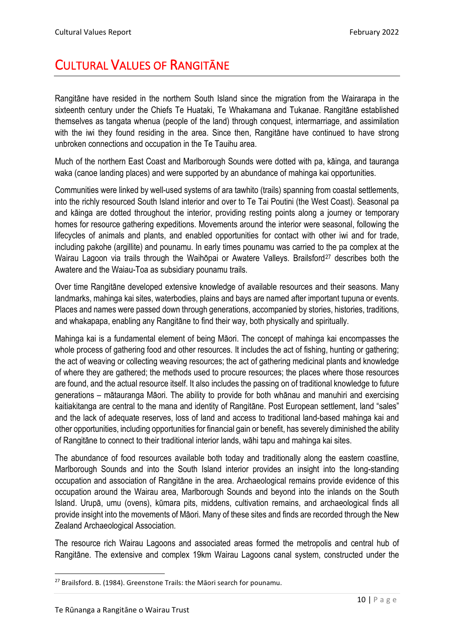### <span id="page-9-0"></span>CULTURAL VALUES OF RANGITĀNE

Rangitāne have resided in the northern South Island since the migration from the Wairarapa in the sixteenth century under the Chiefs Te Huataki, Te Whakamana and Tukanae. Rangitāne established themselves as tangata whenua (people of the land) through conquest, intermarriage, and assimilation with the iwi they found residing in the area. Since then, Rangitāne have continued to have strong unbroken connections and occupation in the Te Tauihu area.

Much of the northern East Coast and Marlborough Sounds were dotted with pa, kāinga, and tauranga waka (canoe landing places) and were supported by an abundance of mahinga kai opportunities.

Communities were linked by well-used systems of ara tawhito (trails) spanning from coastal settlements, into the richly resourced South Island interior and over to Te Tai Poutini (the West Coast). Seasonal pa and kāinga are dotted throughout the interior, providing resting points along a journey or temporary homes for resource gathering expeditions. Movements around the interior were seasonal, following the lifecycles of animals and plants, and enabled opportunities for contact with other iwi and for trade, including pakohe (argillite) and pounamu. In early times pounamu was carried to the pa complex at the Wairau Lagoon via trails through the Waihōpai or Awatere Valleys. Brailsford<sup>[27](#page-9-1)</sup> describes both the Awatere and the Waiau-Toa as subsidiary pounamu trails.

Over time Rangitāne developed extensive knowledge of available resources and their seasons. Many landmarks, mahinga kai sites, waterbodies, plains and bays are named after important tupuna or events. Places and names were passed down through generations, accompanied by stories, histories, traditions, and whakapapa, enabling any Rangitāne to find their way, both physically and spiritually.

Mahinga kai is a fundamental element of being Māori. The concept of mahinga kai encompasses the whole process of gathering food and other resources. It includes the act of fishing, hunting or gathering; the act of weaving or collecting weaving resources; the act of gathering medicinal plants and knowledge of where they are gathered; the methods used to procure resources; the places where those resources are found, and the actual resource itself. It also includes the passing on of traditional knowledge to future generations – mātauranga Māori. The ability to provide for both whānau and manuhiri and exercising kaitiakitanga are central to the mana and identity of Rangitāne. Post European settlement, land "sales" and the lack of adequate reserves, loss of land and access to traditional land-based mahinga kai and other opportunities, including opportunities for financial gain or benefit, has severely diminished the ability of Rangitāne to connect to their traditional interior lands, wāhi tapu and mahinga kai sites.

The abundance of food resources available both today and traditionally along the eastern coastline, Marlborough Sounds and into the South Island interior provides an insight into the long-standing occupation and association of Rangitāne in the area. Archaeological remains provide evidence of this occupation around the Wairau area, Marlborough Sounds and beyond into the inlands on the South Island. Urupā, umu (ovens), kūmara pits, middens, cultivation remains, and archaeological finds all provide insight into the movements of Māori. Many of these sites and finds are recorded through the New Zealand Archaeological Association.

The resource rich Wairau Lagoons and associated areas formed the metropolis and central hub of Rangitāne. The extensive and complex 19km Wairau Lagoons canal system, constructed under the

<span id="page-9-1"></span><sup>27</sup> Brailsford. B. (1984). Greenstone Trails: the Māori search for pounamu.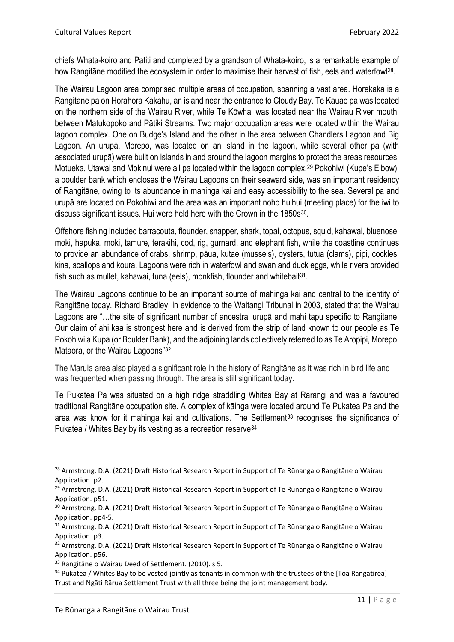chiefs Whata-koiro and Patiti and completed by a grandson of Whata-koiro, is a remarkable example of how Rangitāne modified the ecosystem in order to maximise their harvest of fish, eels and waterfowl[28](#page-10-0).

The Wairau Lagoon area comprised multiple areas of occupation, spanning a vast area. Horekaka is a Rangitane pa on Horahora Kākahu, an island near the entrance to Cloudy Bay. Te Kauae pa was located on the northern side of the Wairau River, while Te Kōwhai was located near the Wairau River mouth, between Matukopoko and Pātiki Streams. Two major occupation areas were located within the Wairau lagoon complex. One on Budge's Island and the other in the area between Chandlers Lagoon and Big Lagoon. An urupā, Morepo, was located on an island in the lagoon, while several other pa (with associated urupā) were built on islands in and around the lagoon margins to protect the areas resources. Motueka, Utawai and Mokinui were all pa located within the lagoon complex.[29](#page-10-1) Pokohiwi (Kupe's Elbow), a boulder bank which encloses the Wairau Lagoons on their seaward side, was an important residency of Rangitāne, owing to its abundance in mahinga kai and easy accessibility to the sea. Several pa and urupā are located on Pokohiwi and the area was an important noho huihui (meeting place) for the iwi to discuss significant issues. Hui were held here with the Crown in the 1850s<sup>[30](#page-10-2)</sup>.

Offshore fishing included barracouta, flounder, snapper, shark, topai, octopus, squid, kahawai, bluenose, moki, hapuka, moki, tamure, terakihi, cod, rig, gurnard, and elephant fish, while the coastline continues to provide an abundance of crabs, shrimp, pāua, kutae (mussels), oysters, tutua (clams), pipi, cockles, kina, scallops and koura. Lagoons were rich in waterfowl and swan and duck eggs, while rivers provided fish such as mullet, kahawai, tuna (eels), monkfish, flounder and whitebait<sup>[31](#page-10-3)</sup>.

The Wairau Lagoons continue to be an important source of mahinga kai and central to the identity of Rangitāne today. Richard Bradley, in evidence to the Waitangi Tribunal in 2003, stated that the Wairau Lagoons are "…the site of significant number of ancestral urupā and mahi tapu specific to Rangitane. Our claim of ahi kaa is strongest here and is derived from the strip of land known to our people as Te Pokohiwi a Kupa (or Boulder Bank), and the adjoining lands collectively referred to as Te Aropipi, Morepo, Mataora, or the Wairau Lagoons"[32](#page-10-4).

The Maruia area also played a significant role in the history of Rangitāne as it was rich in bird life and was frequented when passing through. The area is still significant today.

Te Pukatea Pa was situated on a high ridge straddling Whites Bay at Rarangi and was a favoured traditional Rangitāne occupation site. A complex of kāinga were located around Te Pukatea Pa and the area was know for it mahinga kai and cultivations. The Settlement<sup>[33](#page-10-5)</sup> recognises the significance of Pukatea / Whites Bay by its vesting as a recreation reserve<sup>[34](#page-10-6)</sup>.

<span id="page-10-0"></span><sup>&</sup>lt;sup>28</sup> Armstrong. D.A. (2021) Draft Historical Research Report in Support of Te Rūnanga o Rangitāne o Wairau Application. p2.

<span id="page-10-1"></span><sup>&</sup>lt;sup>29</sup> Armstrong. D.A. (2021) Draft Historical Research Report in Support of Te Rūnanga o Rangitāne o Wairau Application. p51.

<span id="page-10-2"></span><sup>&</sup>lt;sup>30</sup> Armstrong. D.A. (2021) Draft Historical Research Report in Support of Te Rūnanga o Rangitāne o Wairau Application. pp4-5.

<span id="page-10-3"></span><sup>&</sup>lt;sup>31</sup> Armstrong. D.A. (2021) Draft Historical Research Report in Support of Te Rūnanga o Rangitāne o Wairau Application. p3.

<span id="page-10-4"></span><sup>&</sup>lt;sup>32</sup> Armstrong. D.A. (2021) Draft Historical Research Report in Support of Te Rūnanga o Rangitāne o Wairau Application. p56.

<span id="page-10-6"></span><span id="page-10-5"></span><sup>&</sup>lt;sup>33</sup> Rangitāne o Wairau Deed of Settlement. (2010). s 5.<br><sup>34</sup> Pukatea / Whites Bay to be vested jointly as tenants in common with the trustees of the [Toa Rangatirea] Trust and Ngāti Rārua Settlement Trust with all three being the joint management body.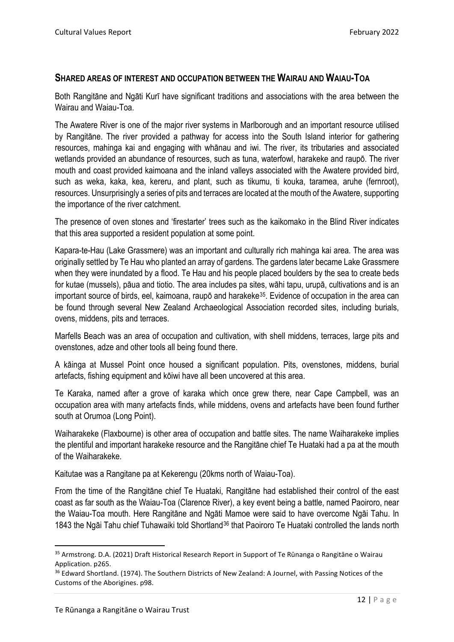#### **SHARED AREAS OF INTEREST AND OCCUPATION BETWEEN THE WAIRAU AND WAIAU-TOA**

Both Rangitāne and Ngāti Kurī have significant traditions and associations with the area between the Wairau and Waiau-Toa.

The Awatere River is one of the major river systems in Marlborough and an important resource utilised by Rangitāne. The river provided a pathway for access into the South Island interior for gathering resources, mahinga kai and engaging with whānau and iwi. The river, its tributaries and associated wetlands provided an abundance of resources, such as tuna, waterfowl, harakeke and raupō. The river mouth and coast provided kaimoana and the inland valleys associated with the Awatere provided bird, such as weka, kaka, kea, kereru, and plant, such as tikumu, ti kouka, taramea, aruhe (fernroot), resources. Unsurprisingly a series of pits and terraces are located at the mouth of the Awatere, supporting the importance of the river catchment.

The presence of oven stones and 'firestarter' trees such as the kaikomako in the Blind River indicates that this area supported a resident population at some point.

Kapara-te-Hau (Lake Grassmere) was an important and culturally rich mahinga kai area. The area was originally settled by Te Hau who planted an array of gardens. The gardens later became Lake Grassmere when they were inundated by a flood. Te Hau and his people placed boulders by the sea to create beds for kutae (mussels), pāua and tiotio. The area includes pa sites, wāhi tapu, urupā, cultivations and is an important source of birds, eel, kaimoana, raupō and harakeke<sup>[35](#page-11-0)</sup>. Evidence of occupation in the area can be found through several New Zealand Archaeological Association recorded sites, including burials, ovens, middens, pits and terraces.

Marfells Beach was an area of occupation and cultivation, with shell middens, terraces, large pits and ovenstones, adze and other tools all being found there.

A kāinga at Mussel Point once housed a significant population. Pits, ovenstones, middens, burial artefacts, fishing equipment and kōiwi have all been uncovered at this area.

Te Karaka, named after a grove of karaka which once grew there, near Cape Campbell, was an occupation area with many artefacts finds, while middens, ovens and artefacts have been found further south at Orumoa (Long Point).

Waiharakeke (Flaxbourne) is other area of occupation and battle sites. The name Waiharakeke implies the plentiful and important harakeke resource and the Rangitāne chief Te Huataki had a pa at the mouth of the Waiharakeke.

Kaitutae was a Rangitane pa at Kekerengu (20kms north of Waiau-Toa).

From the time of the Rangitāne chief Te Huataki, Rangitāne had established their control of the east coast as far south as the Waiau-Toa (Clarence River), a key event being a battle, named Paoiroro, near the Waiau-Toa mouth. Here Rangitāne and Ngāti Mamoe were said to have overcome Ngāi Tahu. In 1843 the Ngāi Tahu chief Tuhawaiki told Shortland[36](#page-11-1) that Paoiroro Te Huataki controlled the lands north

<span id="page-11-0"></span><sup>&</sup>lt;sup>35</sup> Armstrong. D.A. (2021) Draft Historical Research Report in Support of Te Rūnanga o Rangitāne o Wairau Application. p265.

<span id="page-11-1"></span><sup>&</sup>lt;sup>36</sup> Edward Shortland. (1974). The Southern Districts of New Zealand: A Journel, with Passing Notices of the Customs of the Aborigines. p98.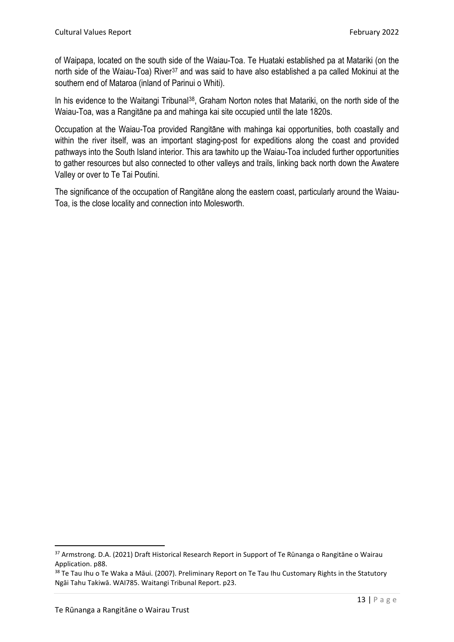of Waipapa, located on the south side of the Waiau-Toa. Te Huataki established pa at Matariki (on the north side of the Waiau-Toa) River<sup>[37](#page-12-0)</sup> and was said to have also established a pa called Mokinui at the southern end of Mataroa (inland of Parinui o Whiti).

In his evidence to the Waitangi Tribunal<sup>[38](#page-12-1)</sup>, Graham Norton notes that Matariki, on the north side of the Waiau-Toa, was a Rangitāne pa and mahinga kai site occupied until the late 1820s.

Occupation at the Waiau-Toa provided Rangitāne with mahinga kai opportunities, both coastally and within the river itself, was an important staging-post for expeditions along the coast and provided pathways into the South Island interior. This ara tawhito up the Waiau-Toa included further opportunities to gather resources but also connected to other valleys and trails, linking back north down the Awatere Valley or over to Te Tai Poutini.

The significance of the occupation of Rangitāne along the eastern coast, particularly around the Waiau-Toa, is the close locality and connection into Molesworth.

<span id="page-12-0"></span><sup>&</sup>lt;sup>37</sup> Armstrong. D.A. (2021) Draft Historical Research Report in Support of Te Rūnanga o Rangitāne o Wairau Application. p88.

<span id="page-12-1"></span><sup>&</sup>lt;sup>38</sup> Te Tau Ihu o Te Waka a Māui. (2007). Preliminary Report on Te Tau Ihu Customary Rights in the Statutory Ngāi Tahu Takiwā. WAI785. Waitangi Tribunal Report. p23.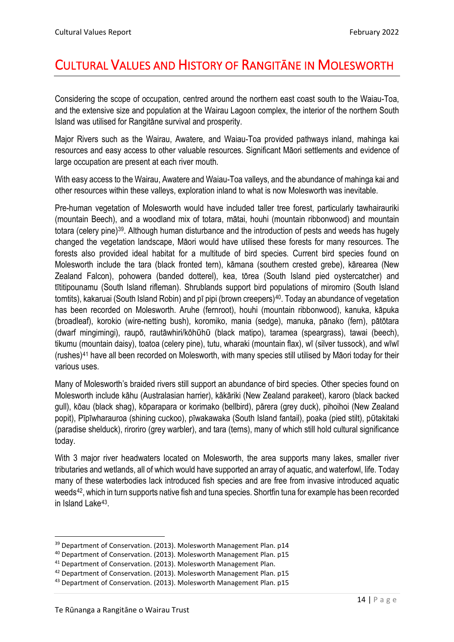#### <span id="page-13-0"></span>CULTURAL VALUES AND HISTORY OF RANGITĀNE IN MOLESWORTH

Considering the scope of occupation, centred around the northern east coast south to the Waiau-Toa, and the extensive size and population at the Wairau Lagoon complex, the interior of the northern South Island was utilised for Rangitāne survival and prosperity.

Major Rivers such as the Wairau, Awatere, and Waiau-Toa provided pathways inland, mahinga kai resources and easy access to other valuable resources. Significant Māori settlements and evidence of large occupation are present at each river mouth.

With easy access to the Wairau, Awatere and Waiau-Toa valleys, and the abundance of mahinga kai and other resources within these valleys, exploration inland to what is now Molesworth was inevitable.

Pre-human vegetation of Molesworth would have included taller tree forest, particularly tawhairauriki (mountain Beech), and a woodland mix of totara, mātai, houhi (mountain ribbonwood) and mountain totara (celery pine)[39](#page-13-1). Although human disturbance and the introduction of pests and weeds has hugely changed the vegetation landscape, Māori would have utilised these forests for many resources. The forests also provided ideal habitat for a multitude of bird species. Current bird species found on Molesworth include the tara (black fronted tern), kāmana (southern crested grebe), kārearea (New Zealand Falcon), pohowera (banded dotterel), kea, tōrea (South Island pied oystercatcher) and tītitipounamu (South Island rifleman). Shrublands support bird populations of miromiro (South Island tomtits), kakaruai (South Island Robin) and pī pipi (brown creepers)<sup>40</sup>. Today an abundance of vegetation has been recorded on Molesworth. Aruhe (fernroot), houhi (mountain ribbonwood), kanuka, kāpuka (broadleaf), korokio (wire-netting bush), koromiko, mania (sedge), manuka, pānako (fern), pātōtara (dwarf mingimingi), raupō, rautāwhiri/kōhῡhῡ (black matipo), taramea (speargrass), tawai (beech), tikumu (mountain daisy), toatoa (celery pine), tutu, wharaki (mountain flax), wī (silver tussock), and wīwī (rushes)[41](#page-13-3) have all been recorded on Molesworth, with many species still utilised by Māori today for their various uses.

Many of Molesworth's braided rivers still support an abundance of bird species. Other species found on Molesworth include kāhu (Australasian harrier), kākāriki (New Zealand parakeet), karoro (black backed gull), kōau (black shag), kōparapara or korimako (bellbird), pārera (grey duck), pihoihoi (New Zealand popit), Pīpīwharauroa (shining cuckoo), pīwakawaka (South Island fantail), poaka (pied stilt), pūtakitaki (paradise shelduck), riroriro (grey warbler), and tara (terns), many of which still hold cultural significance today.

With 3 major river headwaters located on Molesworth, the area supports many lakes, smaller river tributaries and wetlands, all of which would have supported an array of aquatic, and waterfowl, life. Today many of these waterbodies lack introduced fish species and are free from invasive introduced aquatic weeds[42](#page-13-4), which in turn supports native fish and tuna species. Shortfin tuna for example has been recorded in Island Lake[43.](#page-13-5)

<span id="page-13-1"></span><sup>&</sup>lt;sup>39</sup> Department of Conservation. (2013). Molesworth Management Plan. p14

<span id="page-13-2"></span><sup>40</sup> Department of Conservation. (2013). Molesworth Management Plan. p15

<span id="page-13-3"></span><sup>41</sup> Department of Conservation. (2013). Molesworth Management Plan.

<span id="page-13-4"></span><sup>42</sup> Department of Conservation. (2013). Molesworth Management Plan. p15

<span id="page-13-5"></span><sup>43</sup> Department of Conservation. (2013). Molesworth Management Plan. p15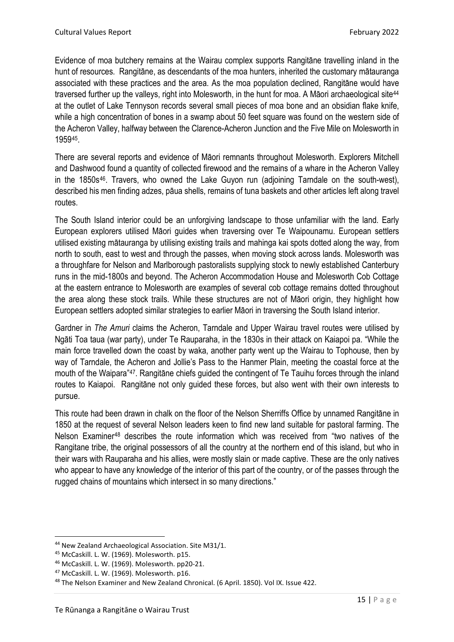Evidence of moa butchery remains at the Wairau complex supports Rangitāne travelling inland in the hunt of resources. Rangitāne, as descendants of the moa hunters, inherited the customary mātauranga associated with these practices and the area. As the moa population declined, Rangitāne would have traversed further up the valleys, right into Molesworth, in the hunt for moa. A Māori archaeological site<sup>[44](#page-14-0)</sup> at the outlet of Lake Tennyson records several small pieces of moa bone and an obsidian flake knife, while a high concentration of bones in a swamp about 50 feet square was found on the western side of the Acheron Valley, halfway between the Clarence-Acheron Junction and the Five Mile on Molesworth in 1959[45.](#page-14-1)

There are several reports and evidence of Māori remnants throughout Molesworth. Explorers Mitchell and Dashwood found a quantity of collected firewood and the remains of a whare in the Acheron Valley in the 1850s<sup>[46](#page-14-2)</sup>. Travers, who owned the Lake Guyon run (adjoining Tarndale on the south-west), described his men finding adzes, pāua shells, remains of tuna baskets and other articles left along travel routes.

The South Island interior could be an unforgiving landscape to those unfamiliar with the land. Early European explorers utilised Māori guides when traversing over Te Waipounamu. European settlers utilised existing mātauranga by utilising existing trails and mahinga kai spots dotted along the way, from north to south, east to west and through the passes, when moving stock across lands. Molesworth was a throughfare for Nelson and Marlborough pastoralists supplying stock to newly established Canterbury runs in the mid-1800s and beyond. The Acheron Accommodation House and Molesworth Cob Cottage at the eastern entrance to Molesworth are examples of several cob cottage remains dotted throughout the area along these stock trails. While these structures are not of Māori origin, they highlight how European settlers adopted similar strategies to earlier Māori in traversing the South Island interior.

Gardner in *The Amuri* claims the Acheron, Tarndale and Upper Wairau travel routes were utilised by Ngāti Toa taua (war party), under Te Rauparaha, in the 1830s in their attack on Kaiapoi pa. "While the main force travelled down the coast by waka, another party went up the Wairau to Tophouse, then by way of Tarndale, the Acheron and Jollie's Pass to the Hanmer Plain, meeting the coastal force at the mouth of the Waipara"[47.](#page-14-3) Rangitāne chiefs guided the contingent of Te Tauihu forces through the inland routes to Kaiapoi. Rangitāne not only guided these forces, but also went with their own interests to pursue.

This route had been drawn in chalk on the floor of the Nelson Sherriffs Office by unnamed Rangitāne in 1850 at the request of several Nelson leaders keen to find new land suitable for pastoral farming. The Nelson Examiner[48](#page-14-4) describes the route information which was received from "two natives of the Rangitane tribe, the original possessors of all the country at the northern end of this island, but who in their wars with Rauparaha and his allies, were mostly slain or made captive. These are the only natives who appear to have any knowledge of the interior of this part of the country, or of the passes through the rugged chains of mountains which intersect in so many directions."

<span id="page-14-0"></span><sup>44</sup> New Zealand Archaeological Association. Site M31/1.

<span id="page-14-1"></span><sup>45</sup> McCaskill. L. W. (1969). Molesworth. p15.

<span id="page-14-2"></span><sup>46</sup> McCaskill. L. W. (1969). Molesworth. pp20-21.

<span id="page-14-3"></span><sup>47</sup> McCaskill. L. W. (1969). Molesworth. p16.

<span id="page-14-4"></span><sup>48</sup> The Nelson Examiner and New Zealand Chronical. (6 April. 1850). Vol IX. Issue 422.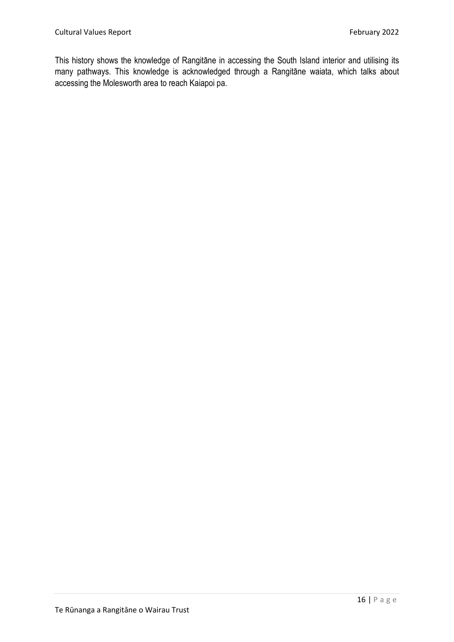This history shows the knowledge of Rangitāne in accessing the South Island interior and utilising its many pathways. This knowledge is acknowledged through a Rangitāne waiata, which talks about accessing the Molesworth area to reach Kaiapoi pa.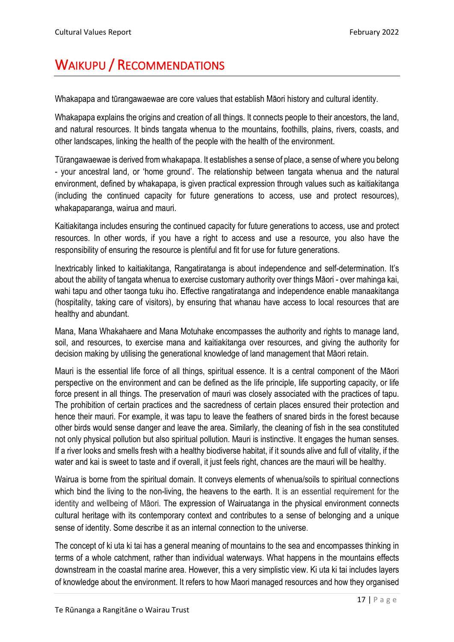## <span id="page-16-0"></span>WAIKUPU / RECOMMENDATIONS

Whakapapa and tūrangawaewae are core values that establish Māori history and cultural identity.

Whakapapa explains the origins and creation of all things. It connects people to their ancestors, the land, and natural resources. It binds tangata whenua to the mountains, foothills, plains, rivers, coasts, and other landscapes, linking the health of the people with the health of the environment.

Tūrangawaewae is derived from whakapapa. It establishes a sense of place, a sense of where you belong - your ancestral land, or 'home ground'. The relationship between tangata whenua and the natural environment, defined by whakapapa, is given practical expression through values such as kaitiakitanga (including the continued capacity for future generations to access, use and protect resources), whakapaparanga, wairua and mauri.

Kaitiakitanga includes ensuring the continued capacity for future generations to access, use and protect resources. In other words, if you have a right to access and use a resource, you also have the responsibility of ensuring the resource is plentiful and fit for use for future generations.

Inextricably linked to kaitiakitanga, Rangatiratanga is about independence and self-determination. It's about the ability of tangata whenua to exercise customary authority over things Māori - over mahinga kai, wahi tapu and other taonga tuku iho. Effective rangatiratanga and independence enable manaakitanga (hospitality, taking care of visitors), by ensuring that whanau have access to local resources that are healthy and abundant.

Mana, Mana Whakahaere and Mana Motuhake encompasses the authority and rights to manage land, soil, and resources, to exercise mana and kaitiakitanga over resources, and giving the authority for decision making by utilising the generational knowledge of land management that Māori retain.

Mauri is the essential life force of all things, spiritual essence. It is a central component of the Māori perspective on the environment and can be defined as the life principle, life supporting capacity, or life force present in all things. The preservation of mauri was closely associated with the practices of tapu. The prohibition of certain practices and the sacredness of certain places ensured their protection and hence their mauri. For example, it was tapu to leave the feathers of snared birds in the forest because other birds would sense danger and leave the area. Similarly, the cleaning of fish in the sea constituted not only physical pollution but also spiritual pollution. Mauri is instinctive. It engages the human senses. If a river looks and smells fresh with a healthy biodiverse habitat, if it sounds alive and full of vitality, if the water and kai is sweet to taste and if overall, it just feels right, chances are the mauri will be healthy.

Wairua is borne from the spiritual domain. It conveys elements of whenua/soils to spiritual connections which bind the living to the non-living, the heavens to the earth. It is an essential requirement for the identity and wellbeing of Māori. The expression of Wairuatanga in the physical environment connects cultural heritage with its contemporary context and contributes to a sense of belonging and a unique sense of identity. Some describe it as an internal connection to the universe.

The concept of ki uta ki tai has a general meaning of mountains to the sea and encompasses thinking in terms of a whole catchment, rather than individual waterways. What happens in the mountains effects downstream in the coastal marine area. However, this a very simplistic view. Ki uta ki tai includes layers of knowledge about the environment. It refers to how Maori managed resources and how they organised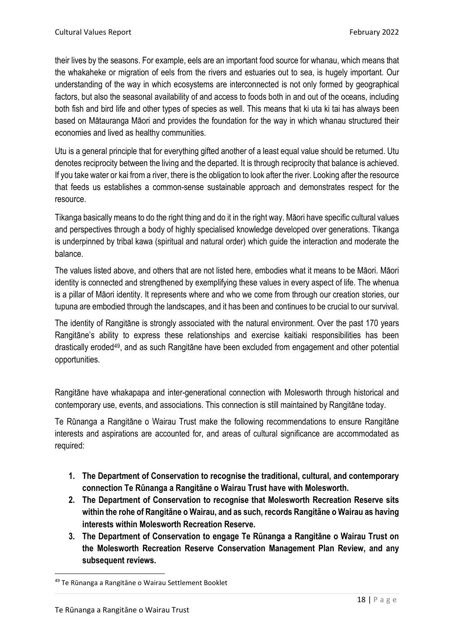their lives by the seasons. For example, eels are an important food source for whanau, which means that the whakaheke or migration of eels from the rivers and estuaries out to sea, is hugely important. Our understanding of the way in which ecosystems are interconnected is not only formed by geographical factors, but also the seasonal availability of and access to foods both in and out of the oceans, including both fish and bird life and other types of species as well. This means that ki uta ki tai has always been based on Mātauranga Māori and provides the foundation for the way in which whanau structured their economies and lived as healthy communities.

Utu is a general principle that for everything gifted another of a least equal value should be returned. Utu denotes reciprocity between the living and the departed. It is through reciprocity that balance is achieved. If you take water or kai from a river, there is the obligation to look after the river. Looking after the resource that feeds us establishes a common-sense sustainable approach and demonstrates respect for the resource.

Tikanga basically means to do the right thing and do it in the right way. Māori have specific cultural values and perspectives through a body of highly specialised knowledge developed over generations. Tikanga is underpinned by tribal kawa (spiritual and natural order) which guide the interaction and moderate the balance.

The values listed above, and others that are not listed here, embodies what it means to be Māori. Māori identity is connected and strengthened by exemplifying these values in every aspect of life. The whenua is a pillar of Māori identity. It represents where and who we come from through our creation stories, our tupuna are embodied through the landscapes, and it has been and continues to be crucial to our survival.

The identity of Rangitāne is strongly associated with the natural environment. Over the past 170 years Rangitāne's ability to express these relationships and exercise kaitiaki responsibilities has been drastically eroded[49](#page-17-0), and as such Rangitāne have been excluded from engagement and other potential opportunities.

Rangitāne have whakapapa and inter-generational connection with Molesworth through historical and contemporary use, events, and associations. This connection is still maintained by Rangitāne today.

Te Rūnanga a Rangitāne o Wairau Trust make the following recommendations to ensure Rangitāne interests and aspirations are accounted for, and areas of cultural significance are accommodated as required:

- **1. The Department of Conservation to recognise the traditional, cultural, and contemporary connection Te Rūnanga a Rangitāne o Wairau Trust have with Molesworth.**
- **2. The Department of Conservation to recognise that Molesworth Recreation Reserve sits within the rohe of Rangitāne o Wairau, and as such, records Rangitāne o Wairau as having interests within Molesworth Recreation Reserve.**
- **3. The Department of Conservation to engage Te Rūnanga a Rangitāne o Wairau Trust on the Molesworth Recreation Reserve Conservation Management Plan Review, and any subsequent reviews.**

<span id="page-17-0"></span><sup>49</sup> Te Rūnanga a Rangitāne o Wairau Settlement Booklet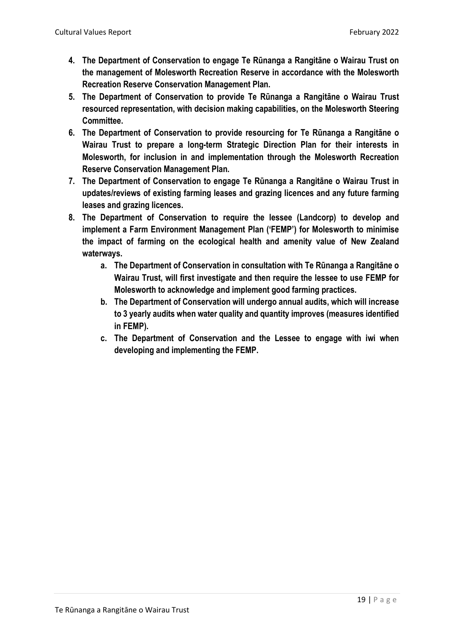- **4. The Department of Conservation to engage Te Rūnanga a Rangitāne o Wairau Trust on the management of Molesworth Recreation Reserve in accordance with the Molesworth Recreation Reserve Conservation Management Plan.**
- **5. The Department of Conservation to provide Te Rūnanga a Rangitāne o Wairau Trust resourced representation, with decision making capabilities, on the Molesworth Steering Committee.**
- **6. The Department of Conservation to provide resourcing for Te Rūnanga a Rangitāne o Wairau Trust to prepare a long-term Strategic Direction Plan for their interests in Molesworth, for inclusion in and implementation through the Molesworth Recreation Reserve Conservation Management Plan.**
- **7. The Department of Conservation to engage Te Rūnanga a Rangitāne o Wairau Trust in updates/reviews of existing farming leases and grazing licences and any future farming leases and grazing licences.**
- **8. The Department of Conservation to require the lessee (Landcorp) to develop and implement a Farm Environment Management Plan ('FEMP') for Molesworth to minimise the impact of farming on the ecological health and amenity value of New Zealand waterways.**
	- **a. The Department of Conservation in consultation with Te Rūnanga a Rangitāne o Wairau Trust, will first investigate and then require the lessee to use FEMP for Molesworth to acknowledge and implement good farming practices.**
	- **b. The Department of Conservation will undergo annual audits, which will increase to 3 yearly audits when water quality and quantity improves (measures identified in FEMP).**
	- **c. The Department of Conservation and the Lessee to engage with iwi when developing and implementing the FEMP.**